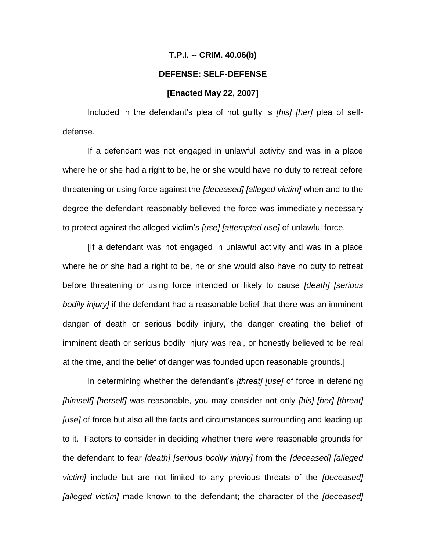## **T.P.I. -- CRIM. 40.06(b)**

## **DEFENSE: SELF-DEFENSE**

## **[Enacted May 22, 2007]**

Included in the defendant's plea of not guilty is *[his] [her]* plea of selfdefense.

If a defendant was not engaged in unlawful activity and was in a place where he or she had a right to be, he or she would have no duty to retreat before threatening or using force against the *[deceased] [alleged victim]* when and to the degree the defendant reasonably believed the force was immediately necessary to protect against the alleged victim's *[use] [attempted use]* of unlawful force.

[If a defendant was not engaged in unlawful activity and was in a place where he or she had a right to be, he or she would also have no duty to retreat before threatening or using force intended or likely to cause *[death] [serious bodily injury]* if the defendant had a reasonable belief that there was an imminent danger of death or serious bodily injury, the danger creating the belief of imminent death or serious bodily injury was real, or honestly believed to be real at the time, and the belief of danger was founded upon reasonable grounds.]

In determining whether the defendant's *[threat] [use]* of force in defending *[himself] [herself]* was reasonable, you may consider not only *[his] [her] [threat] [use]* of force but also all the facts and circumstances surrounding and leading up to it. Factors to consider in deciding whether there were reasonable grounds for the defendant to fear *[death] [serious bodily injury]* from the *[deceased] [alleged victim]* include but are not limited to any previous threats of the *[deceased] [alleged victim]* made known to the defendant; the character of the *[deceased]*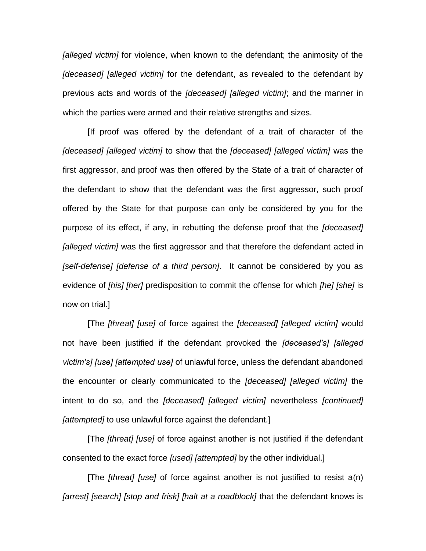*[alleged victim]* for violence, when known to the defendant; the animosity of the *[deceased] [alleged victim]* for the defendant, as revealed to the defendant by previous acts and words of the *[deceased] [alleged victim]*; and the manner in which the parties were armed and their relative strengths and sizes.

[If proof was offered by the defendant of a trait of character of the *[deceased] [alleged victim]* to show that the *[deceased] [alleged victim]* was the first aggressor, and proof was then offered by the State of a trait of character of the defendant to show that the defendant was the first aggressor, such proof offered by the State for that purpose can only be considered by you for the purpose of its effect, if any, in rebutting the defense proof that the *[deceased] [alleged victim]* was the first aggressor and that therefore the defendant acted in *[self-defense] [defense of a third person]*. It cannot be considered by you as evidence of *[his] [her]* predisposition to commit the offense for which *[he] [she]* is now on trial.]

[The *[threat] [use]* of force against the *[deceased] [alleged victim]* would not have been justified if the defendant provoked the *[deceased's] [alleged victim's] [use] [attempted use]* of unlawful force, unless the defendant abandoned the encounter or clearly communicated to the *[deceased] [alleged victim]* the intent to do so, and the *[deceased] [alleged victim]* nevertheless *[continued] [attempted]* to use unlawful force against the defendant.]

[The *[threat] [use]* of force against another is not justified if the defendant consented to the exact force *[used] [attempted]* by the other individual.]

[The *[threat] [use]* of force against another is not justified to resist a(n) *[arrest] [search] [stop and frisk] [halt at a roadblock]* that the defendant knows is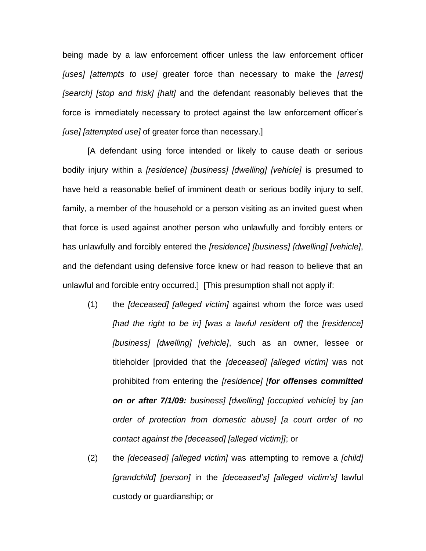being made by a law enforcement officer unless the law enforcement officer *[uses] [attempts to use]* greater force than necessary to make the *[arrest] [search] [stop and frisk] [halt]* and the defendant reasonably believes that the force is immediately necessary to protect against the law enforcement officer's *[use] [attempted use]* of greater force than necessary.]

[A defendant using force intended or likely to cause death or serious bodily injury within a *[residence] [business] [dwelling] [vehicle]* is presumed to have held a reasonable belief of imminent death or serious bodily injury to self, family, a member of the household or a person visiting as an invited guest when that force is used against another person who unlawfully and forcibly enters or has unlawfully and forcibly entered the *[residence] [business] [dwelling] [vehicle]*, and the defendant using defensive force knew or had reason to believe that an unlawful and forcible entry occurred.] [This presumption shall not apply if:

- (1) the *[deceased] [alleged victim]* against whom the force was used *[had the right to be in] [was a lawful resident of]* the *[residence] [business] [dwelling] [vehicle]*, such as an owner, lessee or titleholder [provided that the *[deceased] [alleged victim]* was not prohibited from entering the *[residence] [for offenses committed on or after 7/1/09: business] [dwelling] [occupied vehicle]* by *[an order of protection from domestic abuse] [a court order of no contact against the [deceased] [alleged victim]]*; or
- (2) the *[deceased] [alleged victim]* was attempting to remove a *[child] [grandchild] [person]* in the *[deceased's] [alleged victim's]* lawful custody or guardianship; or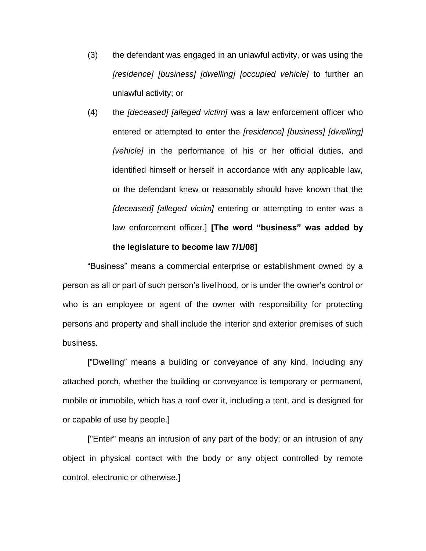- (3) the defendant was engaged in an unlawful activity, or was using the *[residence] [business] [dwelling] [occupied vehicle]* to further an unlawful activity; or
- (4) the *[deceased] [alleged victim]* was a law enforcement officer who entered or attempted to enter the *[residence] [business] [dwelling] [vehicle]* in the performance of his or her official duties, and identified himself or herself in accordance with any applicable law, or the defendant knew or reasonably should have known that the *[deceased] [alleged victim]* entering or attempting to enter was a law enforcement officer.] **[The word "business" was added by the legislature to become law 7/1/08]**

"Business" means a commercial enterprise or establishment owned by a person as all or part of such person's livelihood, or is under the owner's control or who is an employee or agent of the owner with responsibility for protecting persons and property and shall include the interior and exterior premises of such business.

["Dwelling" means a building or conveyance of any kind, including any attached porch, whether the building or conveyance is temporary or permanent, mobile or immobile, which has a roof over it, including a tent, and is designed for or capable of use by people.]

["Enter" means an intrusion of any part of the body; or an intrusion of any object in physical contact with the body or any object controlled by remote control, electronic or otherwise.]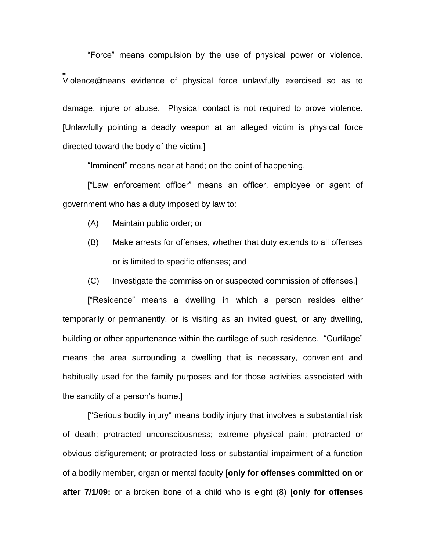"Force" means compulsion by the use of physical power or violence. AViolence@means evidence of physical force unlawfully exercised so as to damage, injure or abuse. Physical contact is not required to prove violence. [Unlawfully pointing a deadly weapon at an alleged victim is physical force directed toward the body of the victim.]

"Imminent" means near at hand; on the point of happening.

["Law enforcement officer" means an officer, employee or agent of government who has a duty imposed by law to:

- (A) Maintain public order; or
- (B) Make arrests for offenses, whether that duty extends to all offenses or is limited to specific offenses; and
- (C) Investigate the commission or suspected commission of offenses.]

["Residence" means a dwelling in which a person resides either temporarily or permanently, or is visiting as an invited guest, or any dwelling, building or other appurtenance within the curtilage of such residence. "Curtilage" means the area surrounding a dwelling that is necessary, convenient and habitually used for the family purposes and for those activities associated with the sanctity of a person's home.]

["Serious bodily injury" means bodily injury that involves a substantial risk of death; protracted unconsciousness; extreme physical pain; protracted or obvious disfigurement; or protracted loss or substantial impairment of a function of a bodily member, organ or mental faculty [**only for offenses committed on or after 7/1/09:** or a broken bone of a child who is eight (8) [**only for offenses**